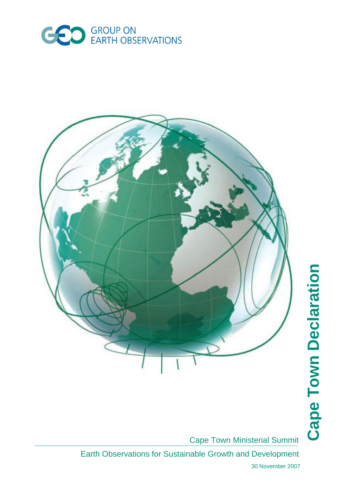



Cape Town Ministerial Summit

Earth Observations for Sustainable Growth and Development

30 November 2007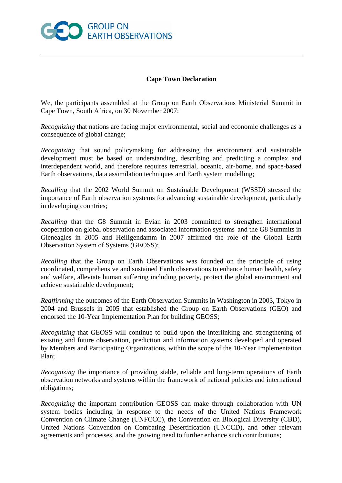

## **Cape Town Declaration**

We, the participants assembled at the Group on Earth Observations Ministerial Summit in Cape Town, South Africa, on 30 November 2007:

*Recognizing* that nations are facing major environmental, social and economic challenges as a consequence of global change;

*Recognizing* that sound policymaking for addressing the environment and sustainable development must be based on understanding, describing and predicting a complex and interdependent world, and therefore requires terrestrial, oceanic, air-borne, and space-based Earth observations, data assimilation techniques and Earth system modelling;

*Recalling* that the 2002 World Summit on Sustainable Development (WSSD) stressed the importance of Earth observation systems for advancing sustainable development, particularly in developing countries;

*Recalling* that the G8 Summit in Evian in 2003 committed to strengthen international cooperation on global observation and associated information systems and the G8 Summits in Gleneagles in 2005 and Heiligendamm in 2007 affirmed the role of the Global Earth Observation System of Systems (GEOSS);

*Recalling* that the Group on Earth Observations was founded on the principle of using coordinated, comprehensive and sustained Earth observations to enhance human health, safety and welfare, alleviate human suffering including poverty, protect the global environment and achieve sustainable development;

*Reaffirming* the outcomes of the Earth Observation Summits in Washington in 2003, Tokyo in 2004 and Brussels in 2005 that established the Group on Earth Observations (GEO) and endorsed the 10-Year Implementation Plan for building GEOSS;

*Recognizing* that GEOSS will continue to build upon the interlinking and strengthening of existing and future observation, prediction and information systems developed and operated by Members and Participating Organizations, within the scope of the 10-Year Implementation Plan;

*Recognizing* the importance of providing stable, reliable and long-term operations of Earth observation networks and systems within the framework of national policies and international obligations;

*Recognizing* the important contribution GEOSS can make through collaboration with UN system bodies including in response to the needs of the United Nations Framework Convention on Climate Change (UNFCCC), the Convention on Biological Diversity (CBD), United Nations Convention on Combating Desertification (UNCCD), and other relevant agreements and processes, and the growing need to further enhance such contributions;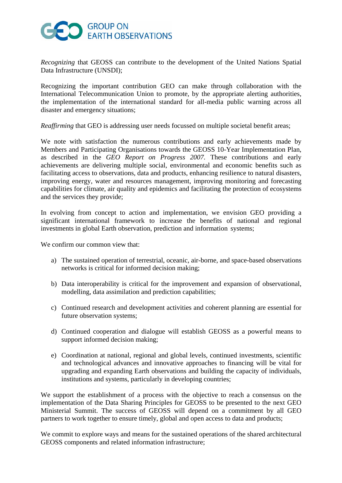## **O** GROUP ON EARTH OBSERVATIONS

*Recognizing* that GEOSS can contribute to the development of the United Nations Spatial Data Infrastructure (UNSDI);

Recognizing the important contribution GEO can make through collaboration with the International Telecommunication Union to promote, by the appropriate alerting authorities, the implementation of the international standard for all-media public warning across all disaster and emergency situations;

*Reaffirming* that GEO is addressing user needs focussed on multiple societal benefit areas;

We note with satisfaction the numerous contributions and early achievements made by Members and Participating Organisations towards the GEOSS 10-Year Implementation Plan, as described in the *GEO Report on Progress 2007.* These contributions and early achievements are delivering multiple social, environmental and economic benefits such as facilitating access to observations, data and products, enhancing resilience to natural disasters, improving energy, water and resources management, improving monitoring and forecasting capabilities for climate, air quality and epidemics and facilitating the protection of ecosystems and the services they provide;

In evolving from concept to action and implementation, we envision GEO providing a significant international framework to increase the benefits of national and regional investments in global Earth observation, prediction and information systems;

We confirm our common view that:

- a) The sustained operation of terrestrial, oceanic, air-borne, and space-based observations networks is critical for informed decision making;
- b) Data interoperability is critical for the improvement and expansion of observational, modelling, data assimilation and prediction capabilities;
- c) Continued research and development activities and coherent planning are essential for future observation systems;
- d) Continued cooperation and dialogue will establish GEOSS as a powerful means to support informed decision making;
- e) Coordination at national, regional and global levels, continued investments, scientific and technological advances and innovative approaches to financing will be vital for upgrading and expanding Earth observations and building the capacity of individuals, institutions and systems, particularly in developing countries;

We support the establishment of a process with the objective to reach a consensus on the implementation of the Data Sharing Principles for GEOSS to be presented to the next GEO Ministerial Summit. The success of GEOSS will depend on a commitment by all GEO partners to work together to ensure timely, global and open access to data and products;

We commit to explore ways and means for the sustained operations of the shared architectural GEOSS components and related information infrastructure;